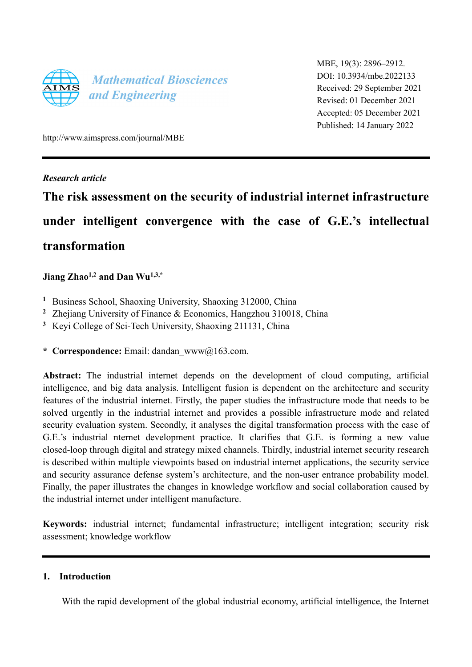

MBE, 19(3): 2896–2912. DOI: 10.3934/mbe.2022133 Received: 29 September 2021 Revised: 01 December 2021 Accepted: 05 December 2021 Published: 14 January 2022

http://www.aimspress.com/journal/MBE

## *Research article*

# **The risk assessment on the security of industrial internet infrastructure under intelligent convergence with the case of G.E.'s intellectual transformation**

# **Jiang Zhao1,2 and Dan Wu1,3,\***

- **<sup>1</sup>** Business School, Shaoxing University, Shaoxing 312000, China
- **<sup>2</sup>** Zhejiang University of Finance & Economics, Hangzhou 310018, China
- **<sup>3</sup>** Keyi College of Sci-Tech University, Shaoxing 211131, China
- **\* Correspondence:** Email: dandan\_www@163.com.

**Abstract:** The industrial internet depends on the development of cloud computing, artificial intelligence, and big data analysis. Intelligent fusion is dependent on the architecture and security features of the industrial internet. Firstly, the paper studies the infrastructure mode that needs to be solved urgently in the industrial internet and provides a possible infrastructure mode and related security evaluation system. Secondly, it analyses the digital transformation process with the case of G.E.'s industrial nternet development practice. It clarifies that G.E. is forming a new value closed-loop through digital and strategy mixed channels. Thirdly, industrial internet security research is described within multiple viewpoints based on industrial internet applications, the security service and security assurance defense system's architecture, and the non-user entrance probability model. Finally, the paper illustrates the changes in knowledge workflow and social collaboration caused by the industrial internet under intelligent manufacture.

**Keywords:** industrial internet; fundamental infrastructure; intelligent integration; security risk assessment; knowledge workflow

## **1. Introduction**

With the rapid development of the global industrial economy, artificial intelligence, the Internet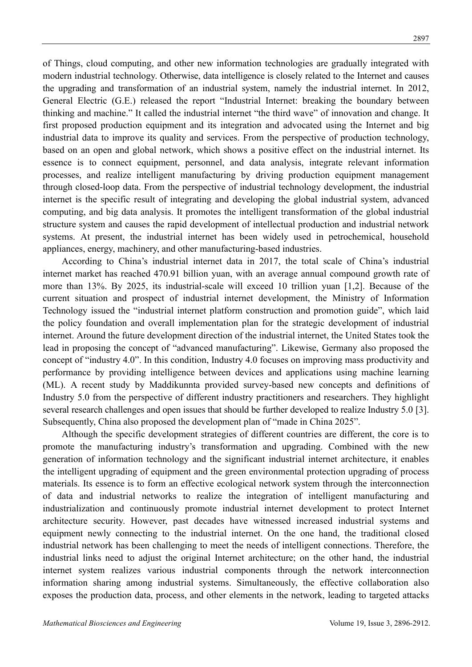of Things, cloud computing, and other new information technologies are gradually integrated with modern industrial technology. Otherwise, data intelligence is closely related to the Internet and causes the upgrading and transformation of an industrial system, namely the industrial internet. In 2012, General Electric (G.E.) released the report "Industrial Internet: breaking the boundary between thinking and machine." It called the industrial internet "the third wave" of innovation and change. It first proposed production equipment and its integration and advocated using the Internet and big industrial data to improve its quality and services. From the perspective of production technology, based on an open and global network, which shows a positive effect on the industrial internet. Its essence is to connect equipment, personnel, and data analysis, integrate relevant information processes, and realize intelligent manufacturing by driving production equipment management through closed-loop data. From the perspective of industrial technology development, the industrial internet is the specific result of integrating and developing the global industrial system, advanced computing, and big data analysis. It promotes the intelligent transformation of the global industrial structure system and causes the rapid development of intellectual production and industrial network systems. At present, the industrial internet has been widely used in petrochemical, household appliances, energy, machinery, and other manufacturing-based industries.

According to China's industrial internet data in 2017, the total scale of China's industrial internet market has reached 470.91 billion yuan, with an average annual compound growth rate of more than 13%. By 2025, its industrial-scale will exceed 10 trillion yuan [1,2]. Because of the current situation and prospect of industrial internet development, the Ministry of Information Technology issued the "industrial internet platform construction and promotion guide", which laid the policy foundation and overall implementation plan for the strategic development of industrial internet. Around the future development direction of the industrial internet, the United States took the lead in proposing the concept of "advanced manufacturing". Likewise, Germany also proposed the concept of "industry 4.0". In this condition, Industry 4.0 focuses on improving mass productivity and performance by providing intelligence between devices and applications using machine learning (ML). A recent study by Maddikunnta provided survey-based new concepts and definitions of Industry 5.0 from the perspective of different industry practitioners and researchers. They highlight several research challenges and open issues that should be further developed to realize Industry 5.0 [3]. Subsequently, China also proposed the development plan of "made in China 2025".

Although the specific development strategies of different countries are different, the core is to promote the manufacturing industry's transformation and upgrading. Combined with the new generation of information technology and the significant industrial internet architecture, it enables the intelligent upgrading of equipment and the green environmental protection upgrading of process materials. Its essence is to form an effective ecological network system through the interconnection of data and industrial networks to realize the integration of intelligent manufacturing and industrialization and continuously promote industrial internet development to protect Internet architecture security. However, past decades have witnessed increased industrial systems and equipment newly connecting to the industrial internet. On the one hand, the traditional closed industrial network has been challenging to meet the needs of intelligent connections. Therefore, the industrial links need to adjust the original Internet architecture; on the other hand, the industrial internet system realizes various industrial components through the network interconnection information sharing among industrial systems. Simultaneously, the effective collaboration also exposes the production data, process, and other elements in the network, leading to targeted attacks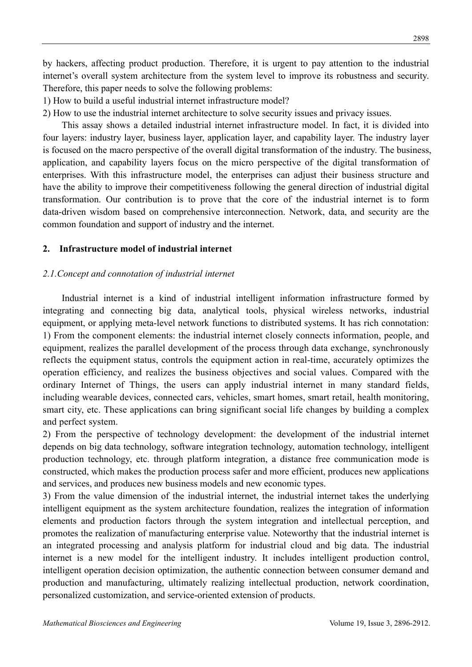by hackers, affecting product production. Therefore, it is urgent to pay attention to the industrial internet's overall system architecture from the system level to improve its robustness and security. Therefore, this paper needs to solve the following problems:

1) How to build a useful industrial internet infrastructure model?

2) How to use the industrial internet architecture to solve security issues and privacy issues.

This assay shows a detailed industrial internet infrastructure model. In fact, it is divided into four layers: industry layer, business layer, application layer, and capability layer. The industry layer is focused on the macro perspective of the overall digital transformation of the industry. The business, application, and capability layers focus on the micro perspective of the digital transformation of enterprises. With this infrastructure model, the enterprises can adjust their business structure and have the ability to improve their competitiveness following the general direction of industrial digital transformation. Our contribution is to prove that the core of the industrial internet is to form data-driven wisdom based on comprehensive interconnection. Network, data, and security are the common foundation and support of industry and the internet.

## **2. Infrastructure model of industrial internet**

## *2.1.Concept and connotation of industrial internet*

Industrial internet is a kind of industrial intelligent information infrastructure formed by integrating and connecting big data, analytical tools, physical wireless networks, industrial equipment, or applying meta-level network functions to distributed systems. It has rich connotation: 1) From the component elements: the industrial internet closely connects information, people, and equipment, realizes the parallel development of the process through data exchange, synchronously reflects the equipment status, controls the equipment action in real-time, accurately optimizes the operation efficiency, and realizes the business objectives and social values. Compared with the ordinary Internet of Things, the users can apply industrial internet in many standard fields, including wearable devices, connected cars, vehicles, smart homes, smart retail, health monitoring, smart city, etc. These applications can bring significant social life changes by building a complex and perfect system.

2) From the perspective of technology development: the development of the industrial internet depends on big data technology, software integration technology, automation technology, intelligent production technology, etc. through platform integration, a distance free communication mode is constructed, which makes the production process safer and more efficient, produces new applications and services, and produces new business models and new economic types.

3) From the value dimension of the industrial internet, the industrial internet takes the underlying intelligent equipment as the system architecture foundation, realizes the integration of information elements and production factors through the system integration and intellectual perception, and promotes the realization of manufacturing enterprise value. Noteworthy that the industrial internet is an integrated processing and analysis platform for industrial cloud and big data. The industrial internet is a new model for the intelligent industry. It includes intelligent production control, intelligent operation decision optimization, the authentic connection between consumer demand and production and manufacturing, ultimately realizing intellectual production, network coordination, personalized customization, and service-oriented extension of products.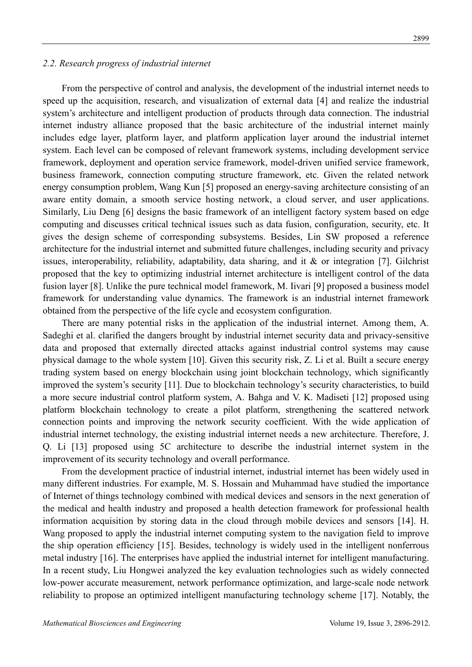#### *2.2. Research progress of industrial internet*

From the perspective of control and analysis, the development of the industrial internet needs to speed up the acquisition, research, and visualization of external data [4] and realize the industrial system's architecture and intelligent production of products through data connection. The industrial internet industry alliance proposed that the basic architecture of the industrial internet mainly includes edge layer, platform layer, and platform application layer around the industrial internet system. Each level can be composed of relevant framework systems, including development service framework, deployment and operation service framework, model-driven unified service framework, business framework, connection computing structure framework, etc. Given the related network energy consumption problem, Wang Kun [5] proposed an energy-saving architecture consisting of an aware entity domain, a smooth service hosting network, a cloud server, and user applications. Similarly, Liu Deng [6] designs the basic framework of an intelligent factory system based on edge computing and discusses critical technical issues such as data fusion, configuration, security, etc. It gives the design scheme of corresponding subsystems. Besides, Lin SW proposed a reference architecture for the industrial internet and submitted future challenges, including security and privacy issues, interoperability, reliability, adaptability, data sharing, and it & or integration [7]. Gilchrist proposed that the key to optimizing industrial internet architecture is intelligent control of the data fusion layer [8]. Unlike the pure technical model framework, M. Iivari [9] proposed a business model framework for understanding value dynamics. The framework is an industrial internet framework obtained from the perspective of the life cycle and ecosystem configuration.

There are many potential risks in the application of the industrial internet. Among them, A. Sadeghi et al. clarified the dangers brought by industrial internet security data and privacy-sensitive data and proposed that externally directed attacks against industrial control systems may cause physical damage to the whole system [10]. Given this security risk, Z. Li et al. Built a secure energy trading system based on energy blockchain using joint blockchain technology, which significantly improved the system's security [11]. Due to blockchain technology's security characteristics, to build a more secure industrial control platform system, A. Bahga and V. K. Madiseti [12] proposed using platform blockchain technology to create a pilot platform, strengthening the scattered network connection points and improving the network security coefficient. With the wide application of industrial internet technology, the existing industrial internet needs a new architecture. Therefore, J. Q. Li [13] proposed using 5C architecture to describe the industrial internet system in the improvement of its security technology and overall performance.

From the development practice of industrial internet, industrial internet has been widely used in many different industries. For example, M. S. Hossain and Muhammad have studied the importance of Internet of things technology combined with medical devices and sensors in the next generation of the medical and health industry and proposed a health detection framework for professional health information acquisition by storing data in the cloud through mobile devices and sensors [14]. H. Wang proposed to apply the industrial internet computing system to the navigation field to improve the ship operation efficiency [15]. Besides, technology is widely used in the intelligent nonferrous metal industry [16]. The enterprises have applied the industrial internet for intelligent manufacturing. In a recent study, Liu Hongwei analyzed the key evaluation technologies such as widely connected low-power accurate measurement, network performance optimization, and large-scale node network reliability to propose an optimized intelligent manufacturing technology scheme [17]. Notably, the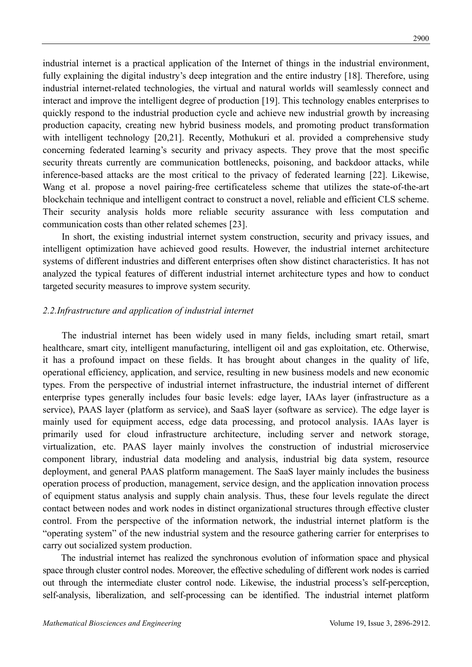industrial internet is a practical application of the Internet of things in the industrial environment, fully explaining the digital industry's deep integration and the entire industry [18]. Therefore, using industrial internet-related technologies, the virtual and natural worlds will seamlessly connect and interact and improve the intelligent degree of production [19]. This technology enables enterprises to quickly respond to the industrial production cycle and achieve new industrial growth by increasing production capacity, creating new hybrid business models, and promoting product transformation with intelligent technology [20,21]. Recently, Mothukuri et al. provided a comprehensive study concerning federated learning's security and privacy aspects. They prove that the most specific security threats currently are communication bottlenecks, poisoning, and backdoor attacks, while inference-based attacks are the most critical to the privacy of federated learning [22]. Likewise, Wang et al. propose a novel pairing-free certificateless scheme that utilizes the state-of-the-art blockchain technique and intelligent contract to construct a novel, reliable and efficient CLS scheme. Their security analysis holds more reliable security assurance with less computation and communication costs than other related schemes [23].

In short, the existing industrial internet system construction, security and privacy issues, and intelligent optimization have achieved good results. However, the industrial internet architecture systems of different industries and different enterprises often show distinct characteristics. It has not analyzed the typical features of different industrial internet architecture types and how to conduct targeted security measures to improve system security.

#### *2.2.Infrastructure and application of industrial internet*

The industrial internet has been widely used in many fields, including smart retail, smart healthcare, smart city, intelligent manufacturing, intelligent oil and gas exploitation, etc. Otherwise, it has a profound impact on these fields. It has brought about changes in the quality of life, operational efficiency, application, and service, resulting in new business models and new economic types. From the perspective of industrial internet infrastructure, the industrial internet of different enterprise types generally includes four basic levels: edge layer, IAAs layer (infrastructure as a service), PAAS layer (platform as service), and SaaS layer (software as service). The edge layer is mainly used for equipment access, edge data processing, and protocol analysis. IAAs layer is primarily used for cloud infrastructure architecture, including server and network storage, virtualization, etc. PAAS layer mainly involves the construction of industrial microservice component library, industrial data modeling and analysis, industrial big data system, resource deployment, and general PAAS platform management. The SaaS layer mainly includes the business operation process of production, management, service design, and the application innovation process of equipment status analysis and supply chain analysis. Thus, these four levels regulate the direct contact between nodes and work nodes in distinct organizational structures through effective cluster control. From the perspective of the information network, the industrial internet platform is the "operating system" of the new industrial system and the resource gathering carrier for enterprises to carry out socialized system production.

The industrial internet has realized the synchronous evolution of information space and physical space through cluster control nodes. Moreover, the effective scheduling of different work nodes is carried out through the intermediate cluster control node. Likewise, the industrial process's self-perception, self-analysis, liberalization, and self-processing can be identified. The industrial internet platform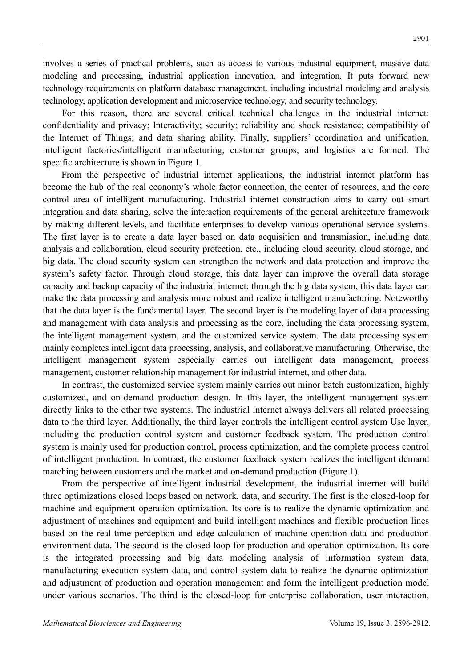involves a series of practical problems, such as access to various industrial equipment, massive data modeling and processing, industrial application innovation, and integration. It puts forward new technology requirements on platform database management, including industrial modeling and analysis technology, application development and microservice technology, and security technology.

For this reason, there are several critical technical challenges in the industrial internet: confidentiality and privacy; Interactivity; security; reliability and shock resistance; compatibility of the Internet of Things; and data sharing ability. Finally, suppliers' coordination and unification, intelligent factories/intelligent manufacturing, customer groups, and logistics are formed. The specific architecture is shown in Figure 1.

From the perspective of industrial internet applications, the industrial internet platform has become the hub of the real economy's whole factor connection, the center of resources, and the core control area of intelligent manufacturing. Industrial internet construction aims to carry out smart integration and data sharing, solve the interaction requirements of the general architecture framework by making different levels, and facilitate enterprises to develop various operational service systems. The first layer is to create a data layer based on data acquisition and transmission, including data analysis and collaboration, cloud security protection, etc., including cloud security, cloud storage, and big data. The cloud security system can strengthen the network and data protection and improve the system's safety factor. Through cloud storage, this data layer can improve the overall data storage capacity and backup capacity of the industrial internet; through the big data system, this data layer can make the data processing and analysis more robust and realize intelligent manufacturing. Noteworthy that the data layer is the fundamental layer. The second layer is the modeling layer of data processing and management with data analysis and processing as the core, including the data processing system, the intelligent management system, and the customized service system. The data processing system mainly completes intelligent data processing, analysis, and collaborative manufacturing. Otherwise, the intelligent management system especially carries out intelligent data management, process management, customer relationship management for industrial internet, and other data.

In contrast, the customized service system mainly carries out minor batch customization, highly customized, and on-demand production design. In this layer, the intelligent management system directly links to the other two systems. The industrial internet always delivers all related processing data to the third layer. Additionally, the third layer controls the intelligent control system Use layer, including the production control system and customer feedback system. The production control system is mainly used for production control, process optimization, and the complete process control of intelligent production. In contrast, the customer feedback system realizes the intelligent demand matching between customers and the market and on-demand production (Figure 1).

From the perspective of intelligent industrial development, the industrial internet will build three optimizations closed loops based on network, data, and security. The first is the closed-loop for machine and equipment operation optimization. Its core is to realize the dynamic optimization and adjustment of machines and equipment and build intelligent machines and flexible production lines based on the real-time perception and edge calculation of machine operation data and production environment data. The second is the closed-loop for production and operation optimization. Its core is the integrated processing and big data modeling analysis of information system data, manufacturing execution system data, and control system data to realize the dynamic optimization and adjustment of production and operation management and form the intelligent production model under various scenarios. The third is the closed-loop for enterprise collaboration, user interaction,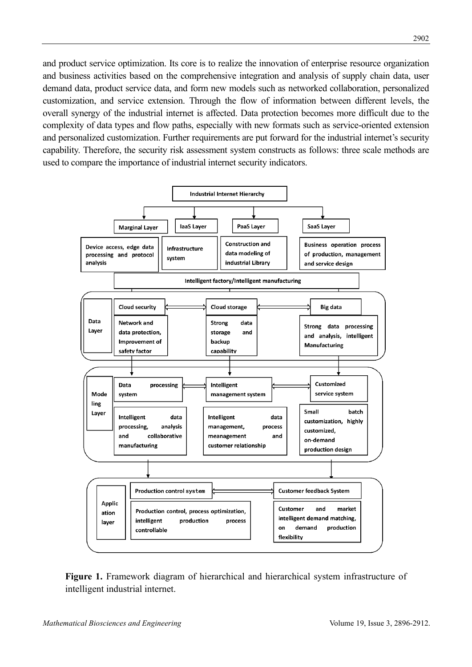and product service optimization. Its core is to realize the innovation of enterprise resource organization and business activities based on the comprehensive integration and analysis of supply chain data, user demand data, product service data, and form new models such as networked collaboration, personalized customization, and service extension. Through the flow of information between different levels, the overall synergy of the industrial internet is affected. Data protection becomes more difficult due to the complexity of data types and flow paths, especially with new formats such as service-oriented extension and personalized customization. Further requirements are put forward for the industrial internet's security capability. Therefore, the security risk assessment system constructs as follows: three scale methods are used to compare the importance of industrial internet security indicators.



Figure 1. Framework diagram of hierarchical and hierarchical system infrastructure of intelligent industrial internet.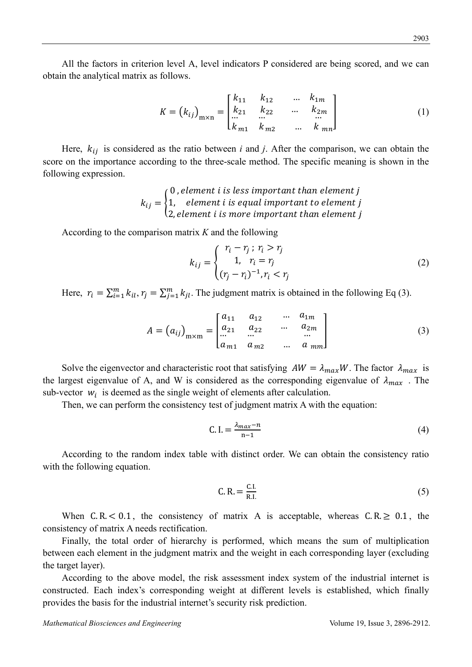All the factors in criterion level A, level indicators P considered are being scored, and we can obtain the analytical matrix as follows.

$$
K = (k_{ij})_{m \times n} = \begin{bmatrix} k_{11} & k_{12} & \dots & k_{1m} \\ k_{21} & k_{22} & \dots & k_{2m} \\ \dots & \dots & \dots & \dots \\ k_{m1} & k_{m2} & \dots & k_{mn} \end{bmatrix}
$$
 (1)

Here,  $k_{ij}$  is considered as the ratio between *i* and *j*. After the comparison, we can obtain the score on the importance according to the three-scale method. The specific meaning is shown in the following expression.

> $k_{ij} = \{$  $0$  , element  $i$  is less important than element  $j$ 1, element i is equal important to element j 2, element  $i$  is more important than element  $j$

According to the comparison matrix *K* and the following

$$
k_{ij} = \begin{cases} r_i - r_j; \ r_i > r_j \\ 1, \quad r_i = r_j \\ (r_j - r_i)^{-1}, r_i < r_j \end{cases}
$$
 (2)

Here,  $r_i = \sum_{i=1}^{m} k_{il}$ ,  $r_j = \sum_{j=1}^{m} k_{jl}$ . The judgment matrix is obtained in the following Eq (3).

$$
A = (a_{ij})_{m \times m} = \begin{bmatrix} a_{11} & a_{12} & \dots & a_{1m} \\ a_{21} & a_{22} & \dots & a_{2m} \\ \dots & \dots & \dots & \dots \\ a_{m1} & a_{m2} & \dots & a_{mn} \end{bmatrix}
$$
 (3)

Solve the eigenvector and characteristic root that satisfying  $AW = \lambda_{max}W$ . The factor  $\lambda_{max}$  is the largest eigenvalue of A, and W is considered as the corresponding eigenvalue of  $\lambda_{max}$ . The sub-vector  $w_i$  is deemed as the single weight of elements after calculation.

Then, we can perform the consistency test of judgment matrix A with the equation:

$$
C. I. = \frac{\lambda_{max} - n}{n - 1} \tag{4}
$$

According to the random index table with distinct order. We can obtain the consistency ratio with the following equation.

$$
C. R. = \frac{C.I.}{R.I.}
$$
 (5)

When C.R.  $< 0.1$ , the consistency of matrix A is acceptable, whereas C.R.  $\geq 0.1$ , the consistency of matrix A needs rectification.

Finally, the total order of hierarchy is performed, which means the sum of multiplication between each element in the judgment matrix and the weight in each corresponding layer (excluding the target layer).

According to the above model, the risk assessment index system of the industrial internet is constructed. Each index's corresponding weight at different levels is established, which finally provides the basis for the industrial internet's security risk prediction.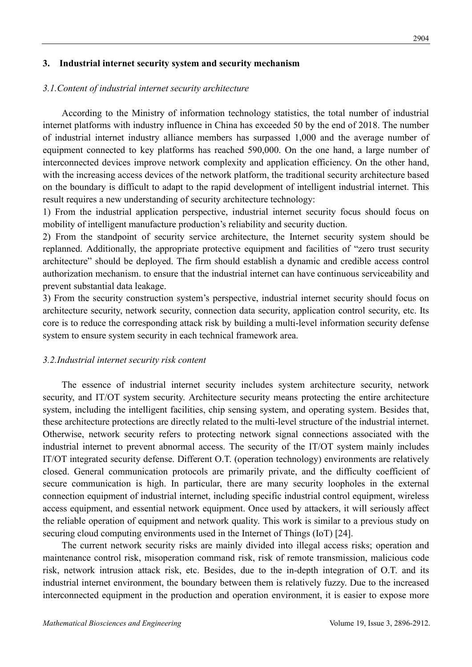#### **3. Industrial internet security system and security mechanism**

#### *3.1.Content of industrial internet security architecture*

According to the Ministry of information technology statistics, the total number of industrial internet platforms with industry influence in China has exceeded 50 by the end of 2018. The number of industrial internet industry alliance members has surpassed 1,000 and the average number of equipment connected to key platforms has reached 590,000. On the one hand, a large number of interconnected devices improve network complexity and application efficiency. On the other hand, with the increasing access devices of the network platform, the traditional security architecture based on the boundary is difficult to adapt to the rapid development of intelligent industrial internet. This result requires a new understanding of security architecture technology:

1) From the industrial application perspective, industrial internet security focus should focus on mobility of intelligent manufacture production's reliability and security duction.

2) From the standpoint of security service architecture, the Internet security system should be replanned. Additionally, the appropriate protective equipment and facilities of "zero trust security architecture" should be deployed. The firm should establish a dynamic and credible access control authorization mechanism. to ensure that the industrial internet can have continuous serviceability and prevent substantial data leakage.

3) From the security construction system's perspective, industrial internet security should focus on architecture security, network security, connection data security, application control security, etc. Its core is to reduce the corresponding attack risk by building a multi-level information security defense system to ensure system security in each technical framework area.

#### *3.2.Industrial internet security risk content*

The essence of industrial internet security includes system architecture security, network security, and IT/OT system security. Architecture security means protecting the entire architecture system, including the intelligent facilities, chip sensing system, and operating system. Besides that, these architecture protections are directly related to the multi-level structure of the industrial internet. Otherwise, network security refers to protecting network signal connections associated with the industrial internet to prevent abnormal access. The security of the IT/OT system mainly includes IT/OT integrated security defense. Different O.T. (operation technology) environments are relatively closed. General communication protocols are primarily private, and the difficulty coefficient of secure communication is high. In particular, there are many security loopholes in the external connection equipment of industrial internet, including specific industrial control equipment, wireless access equipment, and essential network equipment. Once used by attackers, it will seriously affect the reliable operation of equipment and network quality. This work is similar to a previous study on securing cloud computing environments used in the Internet of Things (IoT) [24].

The current network security risks are mainly divided into illegal access risks; operation and maintenance control risk, misoperation command risk, risk of remote transmission, malicious code risk, network intrusion attack risk, etc. Besides, due to the in-depth integration of O.T. and its industrial internet environment, the boundary between them is relatively fuzzy. Due to the increased interconnected equipment in the production and operation environment, it is easier to expose more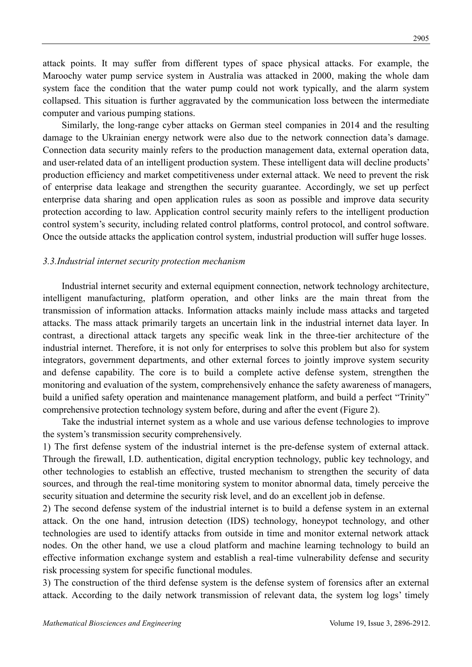attack points. It may suffer from different types of space physical attacks. For example, the Maroochy water pump service system in Australia was attacked in 2000, making the whole dam system face the condition that the water pump could not work typically, and the alarm system collapsed. This situation is further aggravated by the communication loss between the intermediate computer and various pumping stations.

Similarly, the long-range cyber attacks on German steel companies in 2014 and the resulting damage to the Ukrainian energy network were also due to the network connection data's damage. Connection data security mainly refers to the production management data, external operation data, and user-related data of an intelligent production system. These intelligent data will decline products' production efficiency and market competitiveness under external attack. We need to prevent the risk of enterprise data leakage and strengthen the security guarantee. Accordingly, we set up perfect enterprise data sharing and open application rules as soon as possible and improve data security protection according to law. Application control security mainly refers to the intelligent production control system's security, including related control platforms, control protocol, and control software. Once the outside attacks the application control system, industrial production will suffer huge losses.

#### *3.3.Industrial internet security protection mechanism*

Industrial internet security and external equipment connection, network technology architecture, intelligent manufacturing, platform operation, and other links are the main threat from the transmission of information attacks. Information attacks mainly include mass attacks and targeted attacks. The mass attack primarily targets an uncertain link in the industrial internet data layer. In contrast, a directional attack targets any specific weak link in the three-tier architecture of the industrial internet. Therefore, it is not only for enterprises to solve this problem but also for system integrators, government departments, and other external forces to jointly improve system security and defense capability. The core is to build a complete active defense system, strengthen the monitoring and evaluation of the system, comprehensively enhance the safety awareness of managers, build a unified safety operation and maintenance management platform, and build a perfect "Trinity" comprehensive protection technology system before, during and after the event (Figure 2).

Take the industrial internet system as a whole and use various defense technologies to improve the system's transmission security comprehensively.

1) The first defense system of the industrial internet is the pre-defense system of external attack. Through the firewall, I.D. authentication, digital encryption technology, public key technology, and other technologies to establish an effective, trusted mechanism to strengthen the security of data sources, and through the real-time monitoring system to monitor abnormal data, timely perceive the security situation and determine the security risk level, and do an excellent job in defense.

2) The second defense system of the industrial internet is to build a defense system in an external attack. On the one hand, intrusion detection (IDS) technology, honeypot technology, and other technologies are used to identify attacks from outside in time and monitor external network attack nodes. On the other hand, we use a cloud platform and machine learning technology to build an effective information exchange system and establish a real-time vulnerability defense and security risk processing system for specific functional modules.

3) The construction of the third defense system is the defense system of forensics after an external attack. According to the daily network transmission of relevant data, the system log logs' timely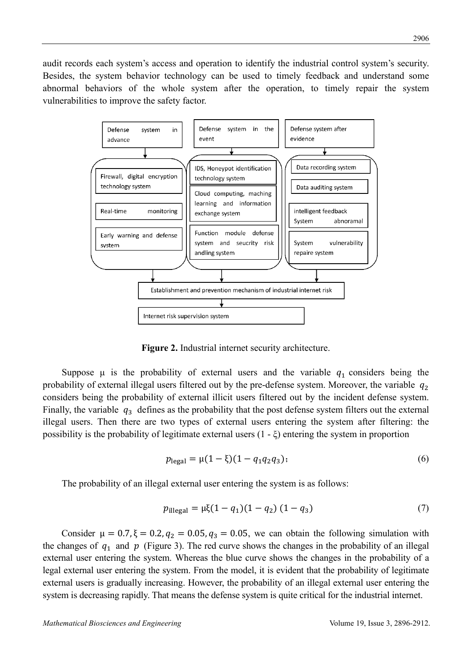audit records each system's access and operation to identify the industrial control system's security. Besides, the system behavior technology can be used to timely feedback and understand some abnormal behaviors of the whole system after the operation, to timely repair the system vulnerabilities to improve the safety factor.



**Figure 2.** Industrial internet security architecture.

Suppose  $\mu$  is the probability of external users and the variable  $q_1$  considers being the probability of external illegal users filtered out by the pre-defense system. Moreover, the variable  $q_2$ considers being the probability of external illicit users filtered out by the incident defense system. Finally, the variable  $q_3$  defines as the probability that the post defense system filters out the external illegal users. Then there are two types of external users entering the system after filtering: the possibility is the probability of legitimate external users (1 - ξ) entering the system in proportion

$$
p_{\text{legal}} = \mu(1 - \xi)(1 - q_1 q_2 q_3); \tag{6}
$$

The probability of an illegal external user entering the system is as follows:

$$
p_{\text{illegal}} = \mu \xi (1 - q_1)(1 - q_2) (1 - q_3) \tag{7}
$$

Consider  $\mu = 0.7$ ,  $\xi = 0.2$ ,  $q_2 = 0.05$ ,  $q_3 = 0.05$ , we can obtain the following simulation with the changes of  $q_1$  and  $p$  (Figure 3). The red curve shows the changes in the probability of an illegal external user entering the system. Whereas the blue curve shows the changes in the probability of a legal external user entering the system. From the model, it is evident that the probability of legitimate external users is gradually increasing. However, the probability of an illegal external user entering the system is decreasing rapidly. That means the defense system is quite critical for the industrial internet.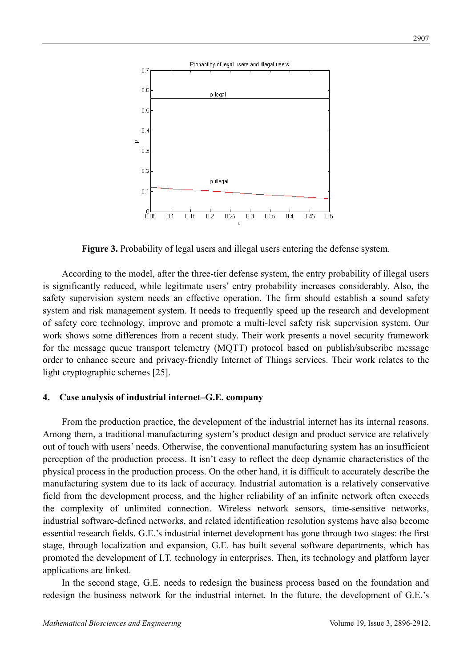

**Figure 3.** Probability of legal users and illegal users entering the defense system.

According to the model, after the three-tier defense system, the entry probability of illegal users is significantly reduced, while legitimate users' entry probability increases considerably. Also, the safety supervision system needs an effective operation. The firm should establish a sound safety system and risk management system. It needs to frequently speed up the research and development of safety core technology, improve and promote a multi-level safety risk supervision system. Our work shows some differences from a recent study. Their work presents a novel security framework for the message queue transport telemetry (MQTT) protocol based on publish/subscribe message order to enhance secure and privacy-friendly Internet of Things services. Their work relates to the light cryptographic schemes [25].

#### **4. Case analysis of industrial internet–G.E. company**

From the production practice, the development of the industrial internet has its internal reasons. Among them, a traditional manufacturing system's product design and product service are relatively out of touch with users' needs. Otherwise, the conventional manufacturing system has an insufficient perception of the production process. It isn't easy to reflect the deep dynamic characteristics of the physical process in the production process. On the other hand, it is difficult to accurately describe the manufacturing system due to its lack of accuracy. Industrial automation is a relatively conservative field from the development process, and the higher reliability of an infinite network often exceeds the complexity of unlimited connection. Wireless network sensors, time-sensitive networks, industrial software-defined networks, and related identification resolution systems have also become essential research fields. G.E.'s industrial internet development has gone through two stages: the first stage, through localization and expansion, G.E. has built several software departments, which has promoted the development of I.T. technology in enterprises. Then, its technology and platform layer applications are linked.

In the second stage, G.E. needs to redesign the business process based on the foundation and redesign the business network for the industrial internet. In the future, the development of G.E.'s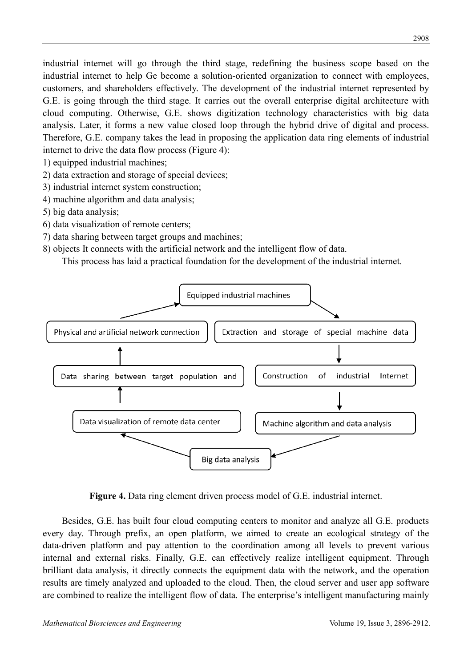industrial internet will go through the third stage, redefining the business scope based on the industrial internet to help Ge become a solution-oriented organization to connect with employees, customers, and shareholders effectively. The development of the industrial internet represented by G.E. is going through the third stage. It carries out the overall enterprise digital architecture with cloud computing. Otherwise, G.E. shows digitization technology characteristics with big data analysis. Later, it forms a new value closed loop through the hybrid drive of digital and process. Therefore, G.E. company takes the lead in proposing the application data ring elements of industrial internet to drive the data flow process (Figure 4):

- 1) equipped industrial machines;
- 2) data extraction and storage of special devices;
- 3) industrial internet system construction;
- 4) machine algorithm and data analysis;
- 5) big data analysis;
- 6) data visualization of remote centers;
- 7) data sharing between target groups and machines;
- 8) objects It connects with the artificial network and the intelligent flow of data.

This process has laid a practical foundation for the development of the industrial internet.



**Figure 4.** Data ring element driven process model of G.E. industrial internet.

Besides, G.E. has built four cloud computing centers to monitor and analyze all G.E. products every day. Through prefix, an open platform, we aimed to create an ecological strategy of the data-driven platform and pay attention to the coordination among all levels to prevent various internal and external risks. Finally, G.E. can effectively realize intelligent equipment. Through brilliant data analysis, it directly connects the equipment data with the network, and the operation results are timely analyzed and uploaded to the cloud. Then, the cloud server and user app software are combined to realize the intelligent flow of data. The enterprise's intelligent manufacturing mainly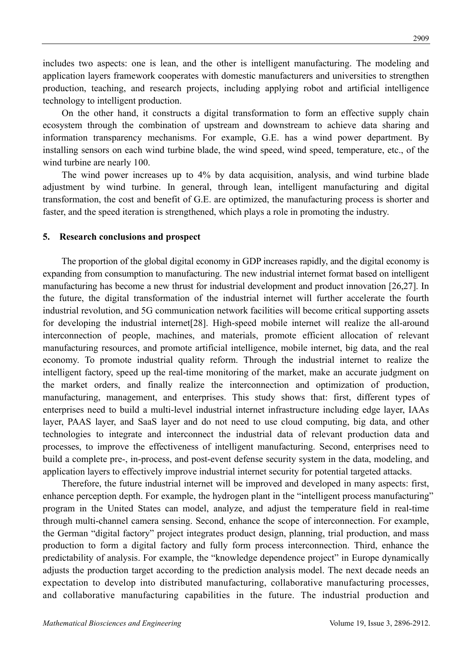includes two aspects: one is lean, and the other is intelligent manufacturing. The modeling and application layers framework cooperates with domestic manufacturers and universities to strengthen production, teaching, and research projects, including applying robot and artificial intelligence technology to intelligent production.

On the other hand, it constructs a digital transformation to form an effective supply chain ecosystem through the combination of upstream and downstream to achieve data sharing and information transparency mechanisms. For example, G.E. has a wind power department. By installing sensors on each wind turbine blade, the wind speed, wind speed, temperature, etc., of the wind turbine are nearly 100.

The wind power increases up to 4% by data acquisition, analysis, and wind turbine blade adjustment by wind turbine. In general, through lean, intelligent manufacturing and digital transformation, the cost and benefit of G.E. are optimized, the manufacturing process is shorter and faster, and the speed iteration is strengthened, which plays a role in promoting the industry.

### **5. Research conclusions and prospect**

The proportion of the global digital economy in GDP increases rapidly, and the digital economy is expanding from consumption to manufacturing. The new industrial internet format based on intelligent manufacturing has become a new thrust for industrial development and product innovation [26,27]. In the future, the digital transformation of the industrial internet will further accelerate the fourth industrial revolution, and 5G communication network facilities will become critical supporting assets for developing the industrial internet<sup>[28]</sup>. High-speed mobile internet will realize the all-around interconnection of people, machines, and materials, promote efficient allocation of relevant manufacturing resources, and promote artificial intelligence, mobile internet, big data, and the real economy. To promote industrial quality reform. Through the industrial internet to realize the intelligent factory, speed up the real-time monitoring of the market, make an accurate judgment on the market orders, and finally realize the interconnection and optimization of production, manufacturing, management, and enterprises. This study shows that: first, different types of enterprises need to build a multi-level industrial internet infrastructure including edge layer, IAAs layer, PAAS layer, and SaaS layer and do not need to use cloud computing, big data, and other technologies to integrate and interconnect the industrial data of relevant production data and processes, to improve the effectiveness of intelligent manufacturing. Second, enterprises need to build a complete pre-, in-process, and post-event defense security system in the data, modeling, and application layers to effectively improve industrial internet security for potential targeted attacks.

Therefore, the future industrial internet will be improved and developed in many aspects: first, enhance perception depth. For example, the hydrogen plant in the "intelligent process manufacturing" program in the United States can model, analyze, and adjust the temperature field in real-time through multi-channel camera sensing. Second, enhance the scope of interconnection. For example, the German "digital factory" project integrates product design, planning, trial production, and mass production to form a digital factory and fully form process interconnection. Third, enhance the predictability of analysis. For example, the "knowledge dependence project" in Europe dynamically adjusts the production target according to the prediction analysis model. The next decade needs an expectation to develop into distributed manufacturing, collaborative manufacturing processes, and collaborative manufacturing capabilities in the future. The industrial production and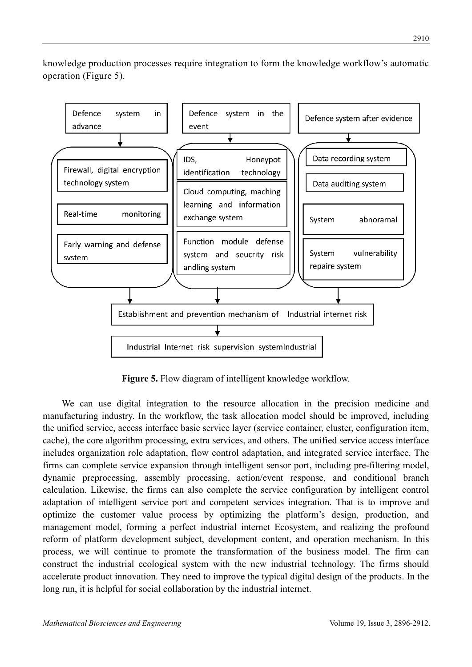knowledge production processes require integration to form the knowledge workflow's automatic operation (Figure 5).



**Figure 5.** Flow diagram of intelligent knowledge workflow.

We can use digital integration to the resource allocation in the precision medicine and manufacturing industry. In the workflow, the task allocation model should be improved, including the unified service, access interface basic service layer (service container, cluster, configuration item, cache), the core algorithm processing, extra services, and others. The unified service access interface includes organization role adaptation, flow control adaptation, and integrated service interface. The firms can complete service expansion through intelligent sensor port, including pre-filtering model, dynamic preprocessing, assembly processing, action/event response, and conditional branch calculation. Likewise, the firms can also complete the service configuration by intelligent control adaptation of intelligent service port and competent services integration. That is to improve and optimize the customer value process by optimizing the platform's design, production, and management model, forming a perfect industrial internet Ecosystem, and realizing the profound reform of platform development subject, development content, and operation mechanism. In this process, we will continue to promote the transformation of the business model. The firm can construct the industrial ecological system with the new industrial technology. The firms should accelerate product innovation. They need to improve the typical digital design of the products. In the long run, it is helpful for social collaboration by the industrial internet.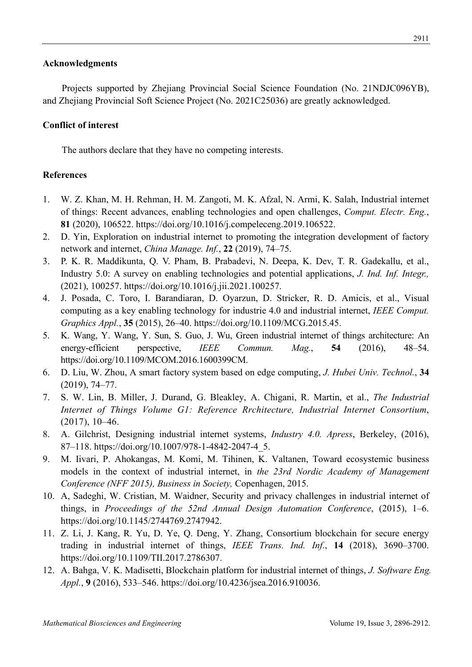## **Acknowledgments**

Projects supported by Zhejiang Provincial Social Science Foundation (No. 21NDJC096YB), and Zhejiang Provincial Soft Science Project (No. 2021C25036) are greatly acknowledged.

## **Conflict of interest**

The authors declare that they have no competing interests.

## **References**

- 1. W. Z. Khan, M. H. Rehman, H. M. Zangoti, M. K. Afzal, N. Armi, K. Salah, Industrial internet of things: Recent advances, enabling technologies and open challenges, *Comput. Electr. Eng.*, **81** (2020), 106522. https://doi.org/10.1016/j.compeleceng.2019.106522.
- 2. D. Yin, Exploration on industrial internet to promoting the integration development of factory network and internet, *China Manage. Inf.*, **22** (2019), 74–75.
- 3. P. K. R. Maddikunta, Q. V. Pham, B. Prabadevi, N. Deepa, K. Dev, T. R. Gadekallu, et al., Industry 5.0: A survey on enabling technologies and potential applications, *J. Ind. Inf. Integr.,*  (2021), 100257. https://doi.org/10.1016/j.jii.2021.100257.
- 4. J. Posada, C. Toro, I. Barandiaran, D. Oyarzun, D. Stricker, R. D. Amicis, et al., Visual computing as a key enabling technology for industrie 4.0 and industrial internet, *IEEE Comput. Graphics Appl.*, **35** (2015), 26–40. https://doi.org/10.1109/MCG.2015.45.
- 5. K. Wang, Y. Wang, Y. Sun, S. Guo, J. Wu, Green industrial internet of things architecture: An energy-efficient perspective, *IEEE Commun. Mag.*, **54** (2016), 48–54. https://doi.org/10.1109/MCOM.2016.1600399CM.
- 6. D. Liu, W. Zhou, A smart factory system based on edge computing, *J. Hubei Univ. Technol.*, **34** (2019), 74–77.
- 7. S. W. Lin, B. Miller, J. Durand, G. Bleakley, A. Chigani, R. Martin, et al., *The Industrial Internet of Things Volume G1: Reference Rrchitecture, Industrial Internet Consortium*, (2017), 10–46.
- 8. A. Gilchrist, Designing industrial internet systems, *Industry 4.0. Apress*, Berkeley, (2016), 87–118. https://doi.org/10.1007/978-1-4842-2047-4\_5.
- 9. M. Iivari, P. Ahokangas, M. Komi, M. Tihinen, K. Valtanen, Toward ecosystemic business models in the context of industrial internet, in *the 23rd Nordic Academy of Management Conference (NFF 2015), Business in Society,* Copenhagen, 2015.
- 10. A, Sadeghi, W. Cristian, M. Waidner, Security and privacy challenges in industrial internet of things, in *Proceedings of the 52nd Annual Design Automation Conference*, (2015), 1–6. https://doi.org/10.1145/2744769.2747942.
- 11. Z. Li, J. Kang, R. Yu, D. Ye, Q. Deng, Y. Zhang, Consortium blockchain for secure energy trading in industrial internet of things, *IEEE Trans. Ind. Inf.*, **14** (2018), 3690–3700. https://doi.org/10.1109/TII.2017.2786307.
- 12. A. Bahga, V. K. Madisetti, Blockchain platform for industrial internet of things, *J. Software Eng. Appl.*, **9** (2016), 533–546. https://doi.org/10.4236/jsea.2016.910036.